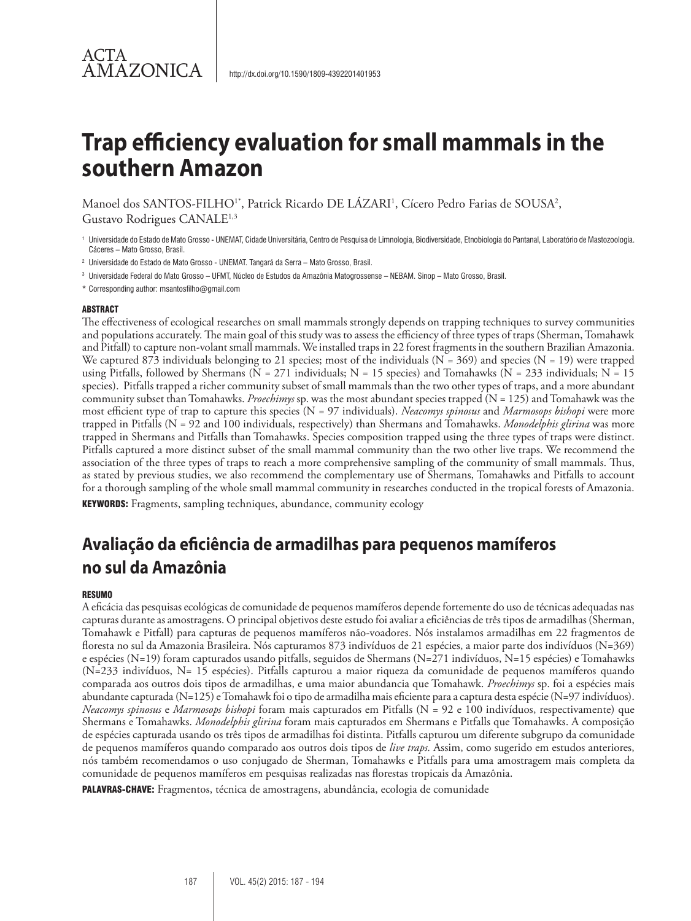

Manoel dos SANTOS-FILHO<sup>1\*</sup>, Patrick Ricardo DE LÁZARI<sup>1</sup>, Cícero Pedro Farias de SOUSA<sup>2</sup>, Gustavo Rodrigues CANALE1,3

<sup>1</sup> Universidade do Estado de Mato Grosso - UNEMAT, Cidade Universitária, Centro de Pesquisa de Limnologia, Biodiversidade, Etnobiologia do Pantanal, Laboratório de Mastozoologia. Cáceres – Mato Grosso, Brasil.

<sup>2</sup> Universidade do Estado de Mato Grosso - UNEMAT. Tangará da Serra – Mato Grosso, Brasil.

<sup>3</sup> Universidade Federal do Mato Grosso – UFMT, Núcleo de Estudos da Amazônia Matogrossense – NEBAM. Sinop – Mato Grosso, Brasil.

\* Corresponding author: msantosfilho@gmail.com

#### ABSTRACT

The effectiveness of ecological researches on small mammals strongly depends on trapping techniques to survey communities and populations accurately. The main goal of this study was to assess the efficiency of three types of traps (Sherman, Tomahawk and Pitfall) to capture non-volant small mammals. We installed traps in 22 forest fragments in the southern Brazilian Amazonia. We captured 873 individuals belonging to 21 species; most of the individuals ( $N = 369$ ) and species ( $N = 19$ ) were trapped using Pitfalls, followed by Shermans (N = 271 individuals; N = 15 species) and Tomahawks (N = 233 individuals; N = 15 species). Pitfalls trapped a richer community subset of small mammals than the two other types of traps, and a more abundant community subset than Tomahawks. *Proechimys* sp. was the most abundant species trapped (N = 125) and Tomahawk was the most efficient type of trap to capture this species (N = 97 individuals). *Neacomys spinosus* and *Marmosops bishopi* were more trapped in Pitfalls (N = 92 and 100 individuals, respectively) than Shermans and Tomahawks. *Monodelphis glirina* was more trapped in Shermans and Pitfalls than Tomahawks. Species composition trapped using the three types of traps were distinct. Pitfalls captured a more distinct subset of the small mammal community than the two other live traps. We recommend the association of the three types of traps to reach a more comprehensive sampling of the community of small mammals. Thus, as stated by previous studies, we also recommend the complementary use of Shermans, Tomahawks and Pitfalls to account for a thorough sampling of the whole small mammal community in researches conducted in the tropical forests of Amazonia.

KEYWORDS: Fragments, sampling techniques, abundance, community ecology

## **Avaliação da eficiência de armadilhas para pequenos mamíferos no sul da Amazônia**

#### **RESUMO**

A eficácia das pesquisas ecológicas de comunidade de pequenos mamíferos depende fortemente do uso de técnicas adequadas nas capturas durante as amostragens. O principal objetivos deste estudo foi avaliar a eficiências de três tipos de armadilhas (Sherman, Tomahawk e Pitfall) para capturas de pequenos mamíferos não-voadores. Nós instalamos armadilhas em 22 fragmentos de floresta no sul da Amazonia Brasileira. Nós capturamos 873 indivíduos de 21 espécies, a maior parte dos indivíduos (N=369) e espécies (N=19) foram capturados usando pitfalls, seguidos de Shermans (N=271 indivíduos, N=15 espécies) e Tomahawks (N=233 indivíduos, N= 15 espécies). Pitfalls capturou a maior riqueza da comunidade de pequenos mamíferos quando comparada aos outros dois tipos de armadilhas, e uma maior abundancia que Tomahawk. *Proechimys* sp. foi a espécies mais abundante capturada (N=125) e Tomahawk foi o tipo de armadilha mais eficiente para a captura desta espécie (N=97 indivíduos). *Neacomys spinosus* e *Marmosops bishopi* foram mais capturados em Pitfalls (N = 92 e 100 indivíduos, respectivamente) que Shermans e Tomahawks. *Monodelphis glirina* foram mais capturados em Shermans e Pitfalls que Tomahawks. A composição de espécies capturada usando os três tipos de armadilhas foi distinta. Pitfalls capturou um diferente subgrupo da comunidade de pequenos mamíferos quando comparado aos outros dois tipos de *live traps.* Assim, como sugerido em estudos anteriores, nós também recomendamos o uso conjugado de Sherman, Tomahawks e Pitfalls para uma amostragem mais completa da comunidade de pequenos mamíferos em pesquisas realizadas nas florestas tropicais da Amazônia.

PALAVRAS-CHAVE: Fragmentos, técnica de amostragens, abundância, ecologia de comunidade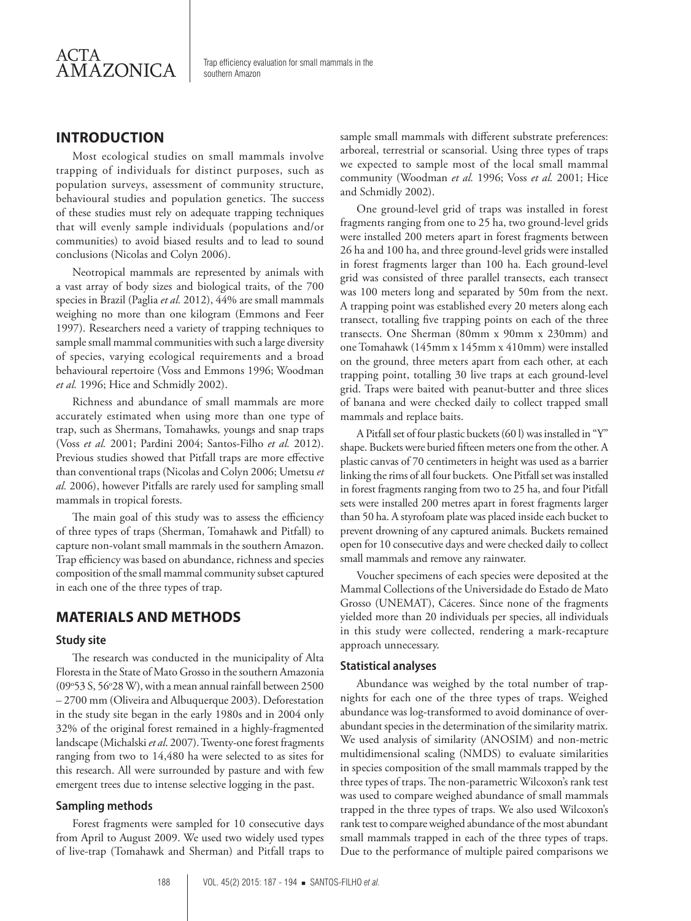## **INTRODUCTION**

Most ecological studies on small mammals involve trapping of individuals for distinct purposes, such as population surveys, assessment of community structure, behavioural studies and population genetics. The success of these studies must rely on adequate trapping techniques that will evenly sample individuals (populations and/or communities) to avoid biased results and to lead to sound conclusions (Nicolas and Colyn 2006).

Neotropical mammals are represented by animals with a vast array of body sizes and biological traits, of the 700 species in Brazil (Paglia *et al.* 2012), 44% are small mammals weighing no more than one kilogram (Emmons and Feer 1997). Researchers need a variety of trapping techniques to sample small mammal communities with such a large diversity of species, varying ecological requirements and a broad behavioural repertoire (Voss and Emmons 1996; Woodman *et al.* 1996; Hice and Schmidly 2002).

Richness and abundance of small mammals are more accurately estimated when using more than one type of trap, such as Shermans, Tomahawks*,* youngs and snap traps (Voss *et al.* 2001; Pardini 2004; Santos-Filho *et al.* 2012). Previous studies showed that Pitfall traps are more effective than conventional traps (Nicolas and Colyn 2006; Umetsu *et al.* 2006), however Pitfalls are rarely used for sampling small mammals in tropical forests.

The main goal of this study was to assess the efficiency of three types of traps (Sherman, Tomahawk and Pitfall) to capture non-volant small mammals in the southern Amazon. Trap efficiency was based on abundance, richness and species composition of the small mammal community subset captured in each one of the three types of trap.

## **MATERIALS AND METHODS**

#### **Study site**

The research was conducted in the municipality of Alta Floresta in the State of Mato Grosso in the southern Amazonia (09°53 S, 56°28 W), with a mean annual rainfall between 2500 – 2700 mm (Oliveira and Albuquerque 2003). Deforestation in the study site began in the early 1980s and in 2004 only 32% of the original forest remained in a highly-fragmented landscape (Michalski *et al*. 2007). Twenty-one forest fragments ranging from two to 14,480 ha were selected to as sites for this research. All were surrounded by pasture and with few emergent trees due to intense selective logging in the past.

#### **Sampling methods**

Forest fragments were sampled for 10 consecutive days from April to August 2009. We used two widely used types of live-trap (Tomahawk and Sherman) and Pitfall traps to sample small mammals with different substrate preferences: arboreal, terrestrial or scansorial. Using three types of traps we expected to sample most of the local small mammal community (Woodman *et al.* 1996; Voss *et al.* 2001; Hice and Schmidly 2002).

One ground-level grid of traps was installed in forest fragments ranging from one to 25 ha, two ground-level grids were installed 200 meters apart in forest fragments between 26 ha and 100 ha, and three ground-level grids were installed in forest fragments larger than 100 ha. Each ground-level grid was consisted of three parallel transects, each transect was 100 meters long and separated by 50m from the next. A trapping point was established every 20 meters along each transect, totalling five trapping points on each of the three transects. One Sherman (80mm x 90mm x 230mm) and one Tomahawk (145mm x 145mm x 410mm) were installed on the ground, three meters apart from each other, at each trapping point, totalling 30 live traps at each ground-level grid. Traps were baited with peanut-butter and three slices of banana and were checked daily to collect trapped small mammals and replace baits.

A Pitfall set of four plastic buckets (60 l) was installed in "Y" shape. Buckets were buried fifteen meters one from the other. A plastic canvas of 70 centimeters in height was used as a barrier linking the rims of all four buckets. One Pitfall set was installed in forest fragments ranging from two to 25 ha, and four Pitfall sets were installed 200 metres apart in forest fragments larger than 50 ha. A styrofoam plate was placed inside each bucket to prevent drowning of any captured animals. Buckets remained open for 10 consecutive days and were checked daily to collect small mammals and remove any rainwater.

Voucher specimens of each species were deposited at the Mammal Collections of the Universidade do Estado de Mato Grosso (UNEMAT), Cáceres. Since none of the fragments yielded more than 20 individuals per species, all individuals in this study were collected, rendering a mark-recapture approach unnecessary.

#### **Statistical analyses**

Abundance was weighed by the total number of trapnights for each one of the three types of traps. Weighed abundance was log-transformed to avoid dominance of overabundant species in the determination of the similarity matrix. We used analysis of similarity (ANOSIM) and non-metric multidimensional scaling (NMDS) to evaluate similarities in species composition of the small mammals trapped by the three types of traps. The non-parametric Wilcoxon's rank test was used to compare weighed abundance of small mammals trapped in the three types of traps. We also used Wilcoxon's rank test to compare weighed abundance of the most abundant small mammals trapped in each of the three types of traps. Due to the performance of multiple paired comparisons we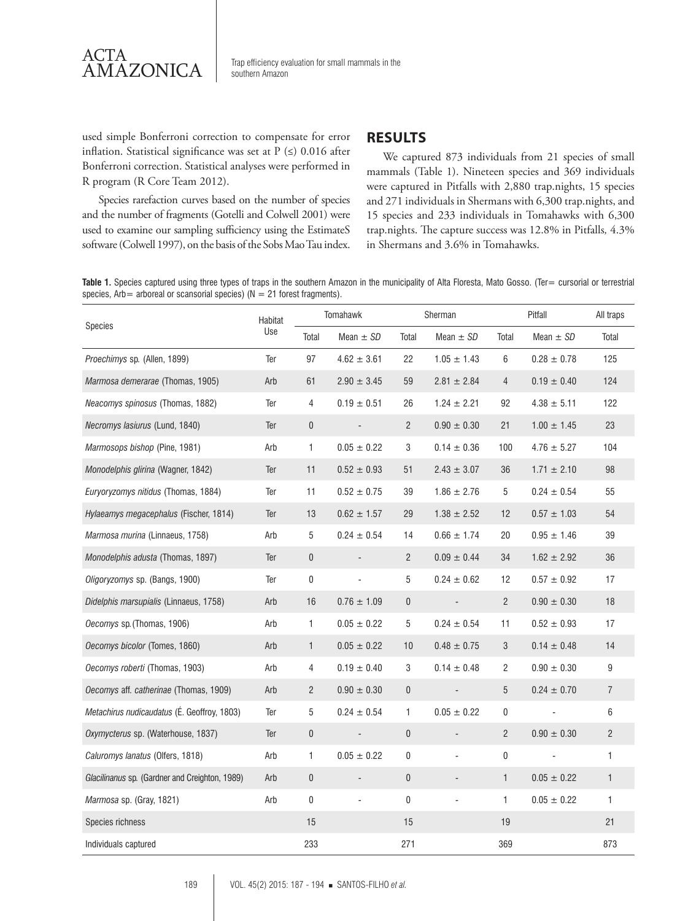

used simple Bonferroni correction to compensate for error inflation. Statistical significance was set at  $P$  ( $\leq$ ) 0.016 after Bonferroni correction. Statistical analyses were performed in R program (R Core Team 2012).

Species rarefaction curves based on the number of species and the number of fragments (Gotelli and Colwell 2001) were used to examine our sampling sufficiency using the EstimateS software (Colwell 1997), on the basis of the Sobs Mao Tau index.

## **RESULTS**

We captured 873 individuals from 21 species of small mammals (Table 1). Nineteen species and 369 individuals were captured in Pitfalls with 2,880 trap.nights, 15 species and 271 individuals in Shermans with 6,300 trap.nights, and 15 species and 233 individuals in Tomahawks with 6,300 trap.nights. The capture success was 12.8% in Pitfalls*,* 4.3% in Shermans and 3.6% in Tomahawks.

Table 1. Species captured using three types of traps in the southern Amazon in the municipality of Alta Floresta, Mato Gosso. (Ter= cursorial or terrestrial species,  $Arb=$  arboreal or scansorial species) ( $N = 21$  forest fragments).

| <b>Species</b>                                 | Habitat<br>Use | Tomahawk       |                   | Sherman        |                          | Pitfall               |                   | All traps      |
|------------------------------------------------|----------------|----------------|-------------------|----------------|--------------------------|-----------------------|-------------------|----------------|
|                                                |                | Total          | Mean $\pm$ SD     | Total          | Mean $\pm$ SD            | Total                 | Mean $\pm$ SD     | Total          |
| Proechimys sp. (Allen, 1899)                   | Ter            | 97             | $4.62 \pm 3.61$   | 22             | $1.05 \pm 1.43$          | 6                     | $0.28 \pm 0.78$   | 125            |
| <i>Marmosa demerarae</i> (Thomas, 1905)        | Arb            | 61             | $2.90 \pm 3.45$   | 59             | $2.81 \pm 2.84$          | $\overline{4}$        | $0.19 \pm 0.40$   | 124            |
| Neacomys spinosus (Thomas, 1882)               | Ter            | 4              | $0.19 \pm 0.51$   | 26             | $1.24 \pm 2.21$          | 92                    | $4.38 \pm 5.11$   | 122            |
| Necromys lasiurus (Lund, 1840)                 | Ter            | 0              | $\blacksquare$    | $\overline{c}$ | $0.90 \pm 0.30$          | 21                    | $1.00 \pm 1.45$   | 23             |
| <i>Marmosops bishop (Pine, 1981)</i>           | Arb            | $\mathbf{1}$   | $0.05 \pm 0.22$   | 3              | $0.14 \pm 0.36$          | 100                   | $4.76 \pm 5.27$   | 104            |
| Monodelphis glirina (Wagner, 1842)             | Ter            | 11             | $0.52 \pm 0.93$   | 51             | $2.43 \pm 3.07$          | 36                    | $1.71 \pm 2.10$   | $98\,$         |
| <i>Euryoryzomys nitidus</i> (Thomas, 1884)     | Ter            | 11             | $0.52\,\pm\,0.75$ | 39             | $1.86 \pm 2.76$          | 5                     | $0.24 \pm 0.54$   | 55             |
| Hylaeamys megacephalus (Fischer, 1814)         | Ter            | 13             | $0.62 \pm 1.57$   | 29             | $1.38 \pm 2.52$          | 12                    | $0.57 \pm 1.03$   | 54             |
| Marmosa murina (Linnaeus, 1758)                | Arb            | 5              | $0.24 \pm 0.54$   | 14             | $0.66 \pm 1.74$          | 20                    | $0.95\,\pm\,1.46$ | 39             |
| Monodelphis adusta (Thomas, 1897)              | Ter            | 0              | $\blacksquare$    | $\overline{2}$ | $0.09 \pm 0.44$          | 34                    | $1.62 \pm 2.92$   | $36\,$         |
| Oligoryzomys sp. (Bangs, 1900)                 | Ter            | $\pmb{0}$      | $\blacksquare$    | 5              | $0.24 \pm 0.62$          | 12                    | $0.57 \pm 0.92$   | 17             |
| Didelphis marsupialis (Linnaeus, 1758)         | Arb            | 16             | $0.76 \pm 1.09$   | 0              | $\overline{\phantom{a}}$ | $\overline{2}$        | $0.90 \pm 0.30$   | $18$           |
| Oecomys sp. (Thomas, 1906)                     | Arb            | 1              | $0.05 \pm 0.22$   | 5              | $0.24 \pm 0.54$          | 11                    | $0.52 \pm 0.93$   | 17             |
| Oecomys bicolor (Tomes, 1860)                  | Arb            | $\mathbf{1}$   | $0.05 \pm 0.22$   | 10             | $0.48 \pm 0.75$          | $3\,$                 | $0.14 \pm 0.48$   | 14             |
| Oecomys roberti (Thomas, 1903)                 | Arb            | 4              | $0.19 \pm 0.40$   | 3              | $0.14 \pm 0.48$          | $\mathbf{2}^{\prime}$ | $0.90 \pm 0.30$   | 9              |
| Oecomys aff. catherinae (Thomas, 1909)         | Arb            | $\overline{2}$ | $0.90 \pm 0.30$   | 0              | $\overline{\phantom{a}}$ | 5                     | $0.24 \pm 0.70$   | 7              |
| Metachirus nudicaudatus (E. Geoffroy, 1803)    | Ter            | 5              | $0.24 \pm 0.54$   | 1              | $0.05\,\pm\,0.22$        | 0                     | $\Box$            | 6              |
| Oxymycterus sp. (Waterhouse, 1837)             | Ter            | 0              | $\blacksquare$    | 0              | $\blacksquare$           | $\overline{2}$        | $0.90 \pm 0.30$   | $\overline{2}$ |
| Caluromys lanatus (Olfers, 1818)               | Arb            | $\mathbf{1}$   | $0.05\,\pm\,0.22$ | 0              | $\Box$                   | $\pmb{0}$             | $\blacksquare$    | 1              |
| Glacilinanus sp. (Gardner and Creighton, 1989) | Arb            | 0              | $\blacksquare$    | 0              | $\overline{\phantom{a}}$ | $\mathbf{1}$          | $0.05 \pm 0.22$   | $\mathbf{1}$   |
| Marmosa sp. (Gray, 1821)                       | Arb            | 0              | ÷,                | 0              | $\blacksquare$           | $\mathbf{1}$          | $0.05\,\pm\,0.22$ | 1              |
| Species richness                               |                | 15             |                   | 15             |                          | 19                    |                   | 21             |
| Individuals captured                           |                | 233            |                   | 271            |                          | 369                   |                   | 873            |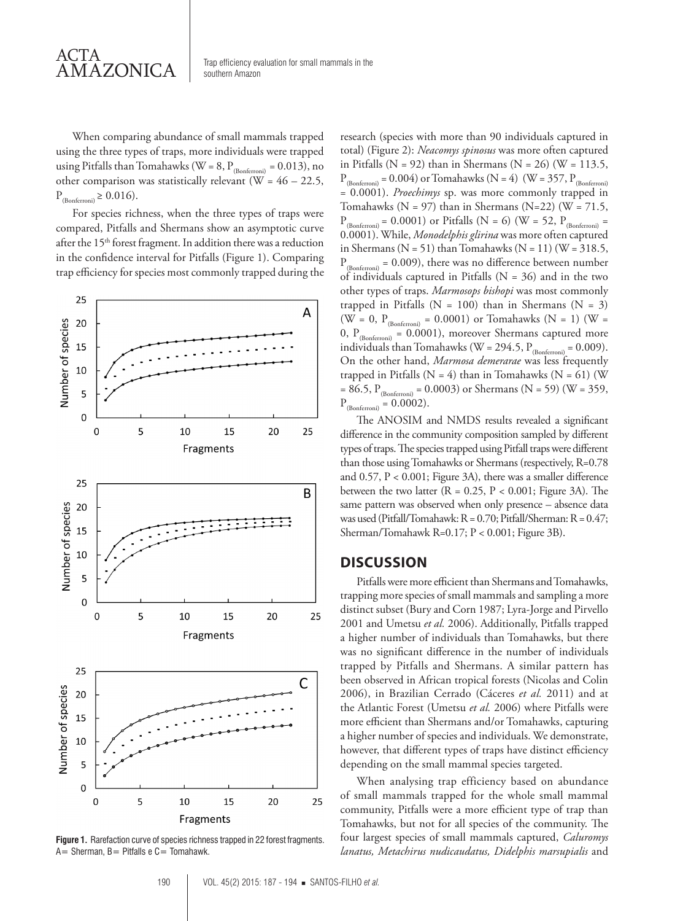ACTA AMAZONICA

When comparing abundance of small mammals trapped using the three types of traps, more individuals were trapped using Pitfalls than Tomahawks (W =  $8, P_{(Bonferroni)} = 0.013$ ), no other comparison was statistically relevant ( $W = 46 - 22.5$ ,  $P_{(Bonferroni)} \geq 0.016$ .

For species richness, when the three types of traps were compared, Pitfalls and Shermans show an asymptotic curve after the 15<sup>th</sup> forest fragment. In addition there was a reduction in the confidence interval for Pitfalls (Figure 1). Comparing trap efficiency for species most commonly trapped during the



Figure 1. Rarefaction curve of species richness trapped in 22 forest fragments  $A=$  Sherman,  $B=$  Pitfalls e  $C=$  Tomahawk.

research (species with more than 90 individuals captured in total) (Figure 2): *Neacomys spinosus* was more often captured in Pitfalls (N = 92) than in Shermans (N = 26) (W = 113.5,  $P_{(Bonferroni)} = 0.004$ ) or Tomahawks (N = 4) (W = 357,  $P_{(Bonferroni)}$ = 0.0001). *Proechimys* sp. was more commonly trapped in Tomahawks ( $N = 97$ ) than in Shermans ( $N=22$ ) ( $W = 71.5$ ,  $P_{(Bonferroni)} = 0.0001$ ) or Pitfalls (N = 6) (W = 52,  $P_{(Bonferroni)} =$ 0.0001). While, *Monodelphisglirina* was more often captured in Shermans ( $N = 51$ ) than Tomahawks ( $N = 11$ ) ( $W = 318.5$ ,  $P_{(Bonferroni)} = 0.009$ , there was no difference between number of individuals captured in Pitfalls ( $N = 36$ ) and in the two other types of traps. *Marmosops bishopi* was most commonly trapped in Pitfalls ( $N = 100$ ) than in Shermans ( $N = 3$ ) (W = 0,  $P_{(Bonferroni)} = 0.0001$ ) or Tomahawks (N = 1) (W = 0,  $P_{(Bonferroni)} = 0.0001$ ), moreover Shermans captured more individuals than Tomahawks (W = 294.5,  $P_{(Bonferroni)} = 0.009$ ). On the other hand, *Marmosa demerarae* was less frequently trapped in Pitfalls ( $N = 4$ ) than in Tomahawks ( $N = 61$ ) (W  $= 86.5, P_{(Bonferroni)} = 0.0003$ ) or Shermans (N = 59) (W = 359,  $P_{(Bonferroni)} = 0.0002$ 

The ANOSIM and NMDS results revealed a significant difference in the community composition sampled by different types of traps. The species trapped using Pitfall traps were different than those using Tomahawks or Shermans (respectively, R=0.78 and 0.57, P < 0.001; Figure 3A), there was a smaller difference between the two latter  $(R = 0.25, P < 0.001;$  Figure 3A). The same pattern was observed when only presence – absence data was used (Pitfall/Tomahawk: R = 0.70; Pitfall/Sherman: R = 0.47; Sherman/Tomahawk R=0.17; P < 0.001; Figure 3B).

## **DISCUSSION**

Pitfalls were more efficient than Shermans and Tomahawks, trapping more species of small mammals and sampling a more distinct subset (Bury and Corn 1987; Lyra-Jorge and Pirvello 2001 and Umetsu *et al.* 2006). Additionally, Pitfalls trapped a higher number of individuals than Tomahawks, but there was no significant difference in the number of individuals trapped by Pitfalls and Shermans. A similar pattern has been observed in African tropical forests (Nicolas and Colin 2006), in Brazilian Cerrado (Cáceres *et al.* 2011) and at the Atlantic Forest (Umetsu *et al.* 2006) where Pitfalls were more efficient than Shermans and/or Tomahawks, capturing a higher number of species and individuals. We demonstrate, however, that different types of traps have distinct efficiency depending on the small mammal species targeted.

When analysing trap efficiency based on abundance of small mammals trapped for the whole small mammal community, Pitfalls were a more efficient type of trap than Tomahawks, but not for all species of the community. The four largest species of small mammals captured, *Caluromys lanatus, Metachirus nudicaudatus, Didelphis marsupialis* and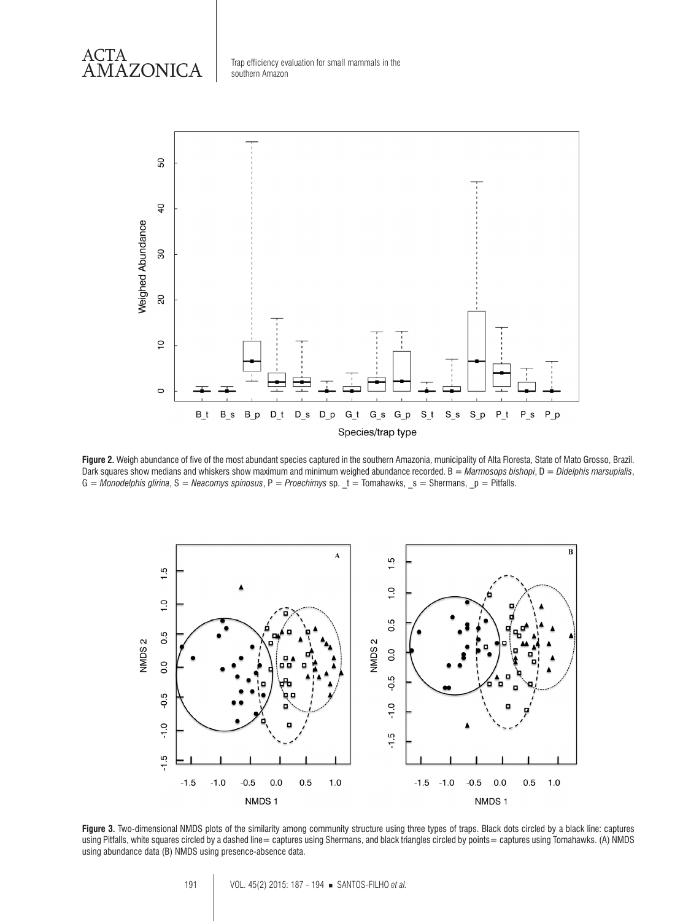ACTA AMAZONICA



**Figure 2.** Weigh abundance of five of the most abundant species captured in the southern Amazonia, municipality of Alta Floresta, State of Mato Grosso, Brazil. Dark squares show medians and whiskers show maximum and minimum weighed abundance recorded. B = *Marmosops bishopi*, D = *Didelphis marsupialis*, G = *Monodelphis glirina*, S = *Neacomys spinosus*, P = *Proechimys* sp. \_t = Tomahawks, \_s = Shermans, \_p = Pitfalls.



**Figure 3.** Two-dimensional NMDS plots of the similarity among community structure using three types of traps. Black dots circled by a black line: captures using Pitfalls, white squares circled by a dashed line= captures using Shermans, and black triangles circled by points= captures using Tomahawks. (A) NMDS using abundance data (B) NMDS using presence-absence data.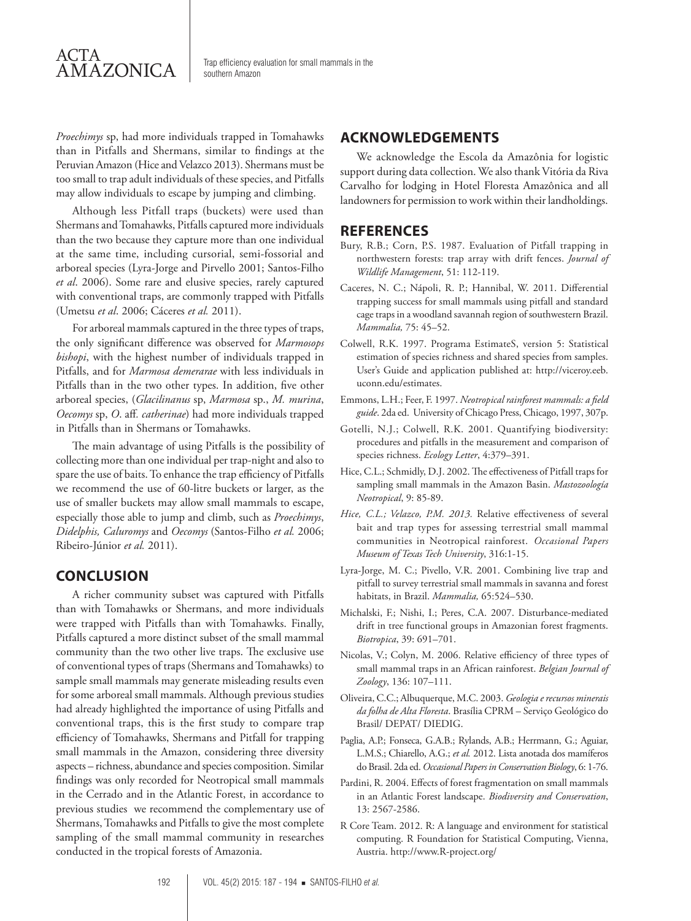*Proechimys* sp, had more individuals trapped in Tomahawks than in Pitfalls and Shermans, similar to findings at the Peruvian Amazon (Hice and Velazco 2013). Shermans must be too small to trap adult individuals of these species, and Pitfalls may allow individuals to escape by jumping and climbing.

Although less Pitfall traps (buckets) were used than Shermans and Tomahawks, Pitfalls captured more individuals than the two because they capture more than one individual at the same time, including cursorial, semi-fossorial and arboreal species (Lyra-Jorge and Pirvello 2001; Santos-Filho *et al*. 2006). Some rare and elusive species, rarely captured with conventional traps, are commonly trapped with Pitfalls (Umetsu *et al*. 2006; Cáceres *et al.* 2011).

For arboreal mammals captured in the three types of traps, the only significant difference was observed for *Marmosops bishopi*, with the highest number of individuals trapped in Pitfalls, and for *Marmosa demerarae* with less individuals in Pitfalls than in the two other types. In addition, five other arboreal species, (*Glacilinanus* sp, *Marmosa* sp., *M. murina*, *Oecomys* sp, *O*. aff*. catherinae*) had more individuals trapped in Pitfalls than in Shermans or Tomahawks.

The main advantage of using Pitfalls is the possibility of collecting more than one individual per trap-night and also to spare the use of baits. To enhance the trap efficiency of Pitfalls we recommend the use of 60-litre buckets or larger, as the use of smaller buckets may allow small mammals to escape, especially those able to jump and climb, such as *Proechimys*, *Didelphis, Caluromys* and *Oecomys* (Santos-Filho *et al.* 2006; Ribeiro-Júnior *et al.* 2011).

## **CONCLUSION**

A richer community subset was captured with Pitfalls than with Tomahawks or Shermans, and more individuals were trapped with Pitfalls than with Tomahawks. Finally, Pitfalls captured a more distinct subset of the small mammal community than the two other live traps. The exclusive use of conventional types of traps (Shermans and Tomahawks) to sample small mammals may generate misleading results even for some arboreal small mammals. Although previous studies had already highlighted the importance of using Pitfalls and conventional traps, this is the first study to compare trap efficiency of Tomahawks, Shermans and Pitfall for trapping small mammals in the Amazon, considering three diversity aspects – richness, abundance and species composition. Similar findings was only recorded for Neotropical small mammals in the Cerrado and in the Atlantic Forest, in accordance to previous studies we recommend the complementary use of Shermans, Tomahawks and Pitfalls to give the most complete sampling of the small mammal community in researches conducted in the tropical forests of Amazonia.

## **ACKNOWLEDGEMENTS**

We acknowledge the Escola da Amazônia for logistic support during data collection. We also thank Vitória da Riva Carvalho for lodging in Hotel Floresta Amazônica and all landowners for permission to work within their landholdings.

## **REFERENCES**

- Bury, R.B.; Corn, P.S. 1987. Evaluation of Pitfall trapping in northwestern forests: trap array with drift fences. *Journal of Wildlife Management*, 51: 112-119.
- Caceres, N. C.; Nápoli, R. P.; Hannibal, W. 2011. Differential trapping success for small mammals using pitfall and standard cage traps in a woodland savannah region of southwestern Brazil. *Mammalia,* 75: 45–52.
- Colwell, R.K. 1997. Programa EstimateS, version 5: Statistical estimation of species richness and shared species from samples. User's Guide and application published at: http://viceroy.eeb. uconn.edu/estimates.
- Emmons, L.H.; Feer, F. 1997. *Neotropical rainforest mammals: a field guide*. 2da ed. University of Chicago Press, Chicago, 1997, 307p.
- Gotelli, N.J.; Colwell, R.K. 2001. Quantifying biodiversity: procedures and pitfalls in the measurement and comparison of species richness. *Ecology Letter*, 4:379–391.
- Hice, C.L.; Schmidly, D.J. 2002. The effectiveness of Pitfall traps for sampling small mammals in the Amazon Basin. *Mastozoología Neotropical*, 9: 85-89.
- *Hice, C.L.; Velazco, P.M. 2013.* Relative effectiveness of several bait and trap types for assessing terrestrial small mammal communities in Neotropical rainforest. *Occasional Papers Museum of Texas Tech University*, 316:1-15.
- Lyra-Jorge, M. C.; Pivello, V.R. 2001. Combining live trap and pitfall to survey terrestrial small mammals in savanna and forest habitats, in Brazil. *Mammalia,* 65:524–530.
- Michalski, F.; Nishi, I.; Peres, C.A. 2007. Disturbance-mediated drift in tree functional groups in Amazonian forest fragments. *Biotropica*, 39: 691–701.
- Nicolas, V.; Colyn, M. 2006. Relative efficiency of three types of small mammal traps in an African rainforest. *Belgian Journal of Zoology*, 136: 107–111.
- Oliveira, C.C.; Albuquerque, M.C. 2003. *Geologia e recursos minerais da folha de Alta Floresta*. Brasília CPRM – Serviço Geológico do Brasil/ DEPAT/ DIEDIG.
- Paglia, A.P.; Fonseca, G.A.B.; Rylands, A.B.; Herrmann, G.; Aguiar, L.M.S.; Chiarello, A.G.; *et al.* 2012. Lista anotada dos mamíferos do Brasil. 2da ed. *Occasional Papers in Conservation Biology*, 6: 1-76.
- Pardini, R. 2004. Effects of forest fragmentation on small mammals in an Atlantic Forest landscape. *Biodiversity and Conservation*, 13: 2567-2586.
- R Core Team. 2012. R: A language and environment for statistical computing. R Foundation for Statistical Computing, Vienna, Austria. http://www.R-project.org/